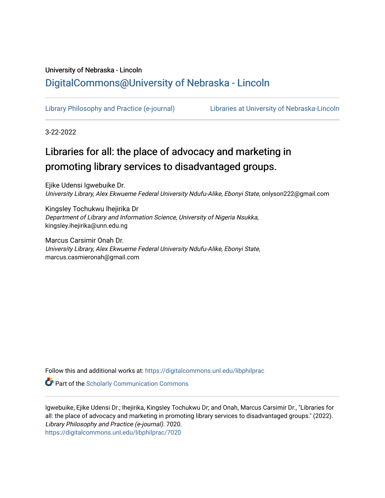# University of Nebraska - Lincoln [DigitalCommons@University of Nebraska - Lincoln](https://digitalcommons.unl.edu/)

[Library Philosophy and Practice \(e-journal\)](https://digitalcommons.unl.edu/libphilprac) [Libraries at University of Nebraska-Lincoln](https://digitalcommons.unl.edu/libraries) 

3-22-2022

# Libraries for all: the place of advocacy and marketing in promoting library services to disadvantaged groups.

Ejike Udensi Igwebuike Dr. University Library, Alex Ekwueme Federal University Ndufu-Alike, Ebonyi State, onlyson222@gmail.com

Kingsley Tochukwu Ihejirika Dr Department of Library and Information Science, University of Nigeria Nsukka, kingsley.ihejirika@unn.edu.ng

Marcus Carsimir Onah Dr. University Library, Alex Ekwueme Federal University Ndufu-Alike, Ebonyi State, marcus.casmieronah@gmail.com

Follow this and additional works at: [https://digitalcommons.unl.edu/libphilprac](https://digitalcommons.unl.edu/libphilprac?utm_source=digitalcommons.unl.edu%2Flibphilprac%2F7020&utm_medium=PDF&utm_campaign=PDFCoverPages) 

**Part of the Scholarly Communication Commons** 

Igwebuike, Ejike Udensi Dr.; Ihejirika, Kingsley Tochukwu Dr; and Onah, Marcus Carsimir Dr., "Libraries for all: the place of advocacy and marketing in promoting library services to disadvantaged groups." (2022). Library Philosophy and Practice (e-journal). 7020. [https://digitalcommons.unl.edu/libphilprac/7020](https://digitalcommons.unl.edu/libphilprac/7020?utm_source=digitalcommons.unl.edu%2Flibphilprac%2F7020&utm_medium=PDF&utm_campaign=PDFCoverPages)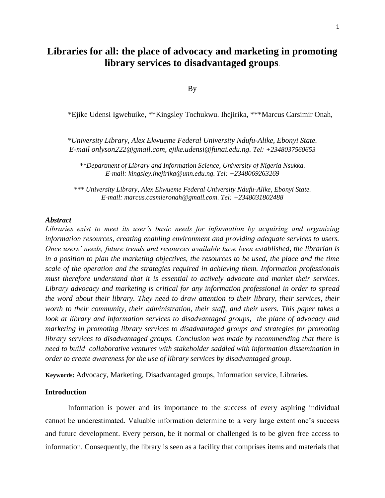# **Libraries for all: the place of advocacy and marketing in promoting library services to disadvantaged groups**.

By

\*Ejike Udensi Igwebuike, \*\*Kingsley Tochukwu. Ihejirika, \*\*\*Marcus Carsimir Onah,

*\*University Library, Alex Ekwueme Federal University Ndufu-Alike, Ebonyi State. E-mail onlyson222@gmail.com, ejike.udensi@funai.edu.ng. Tel: +2348037560653*

*\*\*Department of Library and Information Science, University of Nigeria Nsukka. E-mail: kingsley.ihejirika@unn.edu.ng. Tel: +2348069263269*

*\*\*\* University Library, Alex Ekwueme Federal University Ndufu-Alike, Ebonyi State. E-mail: marcus.casmieronah@gmail.com. Tel: +2348031802488*

#### *Abstract*

*Libraries exist to meet its user's basic needs for information by acquiring and organizing information resources, creating enabling environment and providing adequate services to users. Once users' needs, future trends and resources available have been established, the librarian is in a position to plan the marketing objectives, the resources to be used, the place and the time scale of the operation and the strategies required in achieving them. Information professionals must therefore understand that it is essential to actively advocate and market their services. Library advocacy and marketing is critical for any information professional in order to spread the word about their library. They need to draw attention to their library, their services, their worth to their community, their administration, their staff, and their users. This paper takes a look at library and information services to disadvantaged groups, the place of advocacy and marketing in promoting library services to disadvantaged groups and strategies for promoting library services to disadvantaged groups. Conclusion was made by recommending that there is need to build collaborative ventures with stakeholder saddled with information dissemination in order to create awareness for the use of library services by disadvantaged group.*

**Keywords:** Advocacy, Marketing, Disadvantaged groups, Information service, Libraries.

### **Introduction**

Information is power and its importance to the success of every aspiring individual cannot be underestimated. Valuable information determine to a very large extent one's success and future development. Every person, be it normal or challenged is to be given free access to information. Consequently, the library is seen as a facility that comprises items and materials that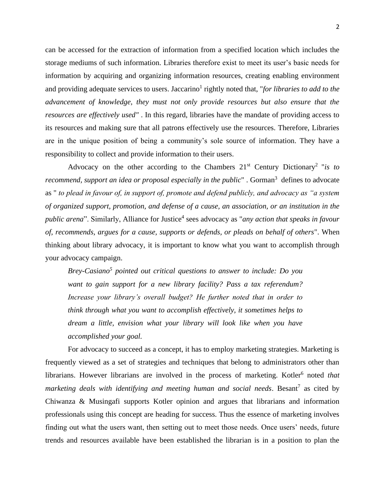can be accessed for the extraction of information from a specified location which includes the storage mediums of such information. Libraries therefore exist to meet its user's basic needs for information by acquiring and organizing information resources, creating enabling environment and providing adequate services to users. Jaccarino<sup>1</sup> rightly noted that, "*for libraries to add to the advancement of knowledge, they must not only provide resources but also ensure that the resources are effectively used"* . In this regard, libraries have the mandate of providing access to its resources and making sure that all patrons effectively use the resources. Therefore, Libraries are in the unique position of being a community's sole source of information. They have a responsibility to collect and provide information to their users.

Advocacy on the other according to the Chambers  $21<sup>st</sup>$  Century Dictionary<sup>2</sup> "*is to* recommend, support an idea or proposal especially in the public". Gorman<sup>3</sup> defines to advocate as " *to plead in favour of, in support of, promote and defend publicly, and advocacy as "a system of organized support, promotion, and defense of a cause, an association, or an institution in the public arena*". Similarly, Alliance for Justice<sup>4</sup> sees advocacy as "*any action that speaks in favour of, recommends, argues for a cause, supports or defends, or pleads on behalf of others*". When thinking about library advocacy, it is important to know what you want to accomplish through your advocacy campaign.

Brey-Casiano<sup>5</sup> pointed out critical questions to answer to include: Do you *want to gain support for a new library facility? Pass a tax referendum? Increase your library's overall budget? He further noted that in order to think through what you want to accomplish effectively, it sometimes helps to dream a little, envision what your library will look like when you have accomplished your goal.*

For advocacy to succeed as a concept, it has to employ marketing strategies. Marketing is frequently viewed as a set of strategies and techniques that belong to administrators other than librarians. However librarians are involved in the process of marketing. Kotler<sup>6</sup> noted *that* marketing deals with identifying and meeting human and social needs. Besant<sup>7</sup> as cited by Chiwanza & Musingafi supports Kotler opinion and argues that librarians and information professionals using this concept are heading for success. Thus the essence of marketing involves finding out what the users want, then setting out to meet those needs. Once users' needs, future trends and resources available have been established the librarian is in a position to plan the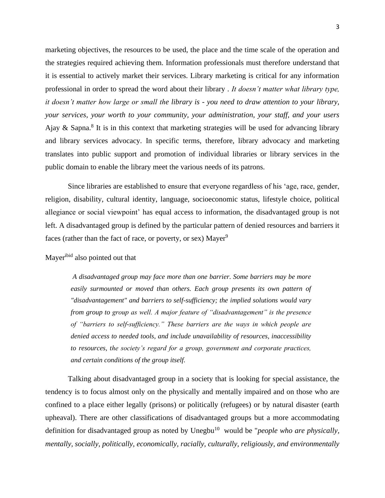marketing objectives, the resources to be used, the place and the time scale of the operation and the strategies required achieving them. Information professionals must therefore understand that it is essential to actively market their services. Library marketing is critical for any information professional in order to spread the word about their library . *It doesn't matter what library type, it doesn't matter how large or small the library is - you need to draw attention to your library, your services, your worth to your community, your administration, your staff, and your users*  Ajay & Sapna.<sup>8</sup> It is in this context that marketing strategies will be used for advancing library and library services advocacy. In specific terms, therefore, library advocacy and marketing translates into public support and promotion of individual libraries or library services in the public domain to enable the library meet the various needs of its patrons.

Since libraries are established to ensure that everyone regardless of his 'age, race, gender, religion, disability, cultural identity, language, socioeconomic status, lifestyle choice, political allegiance or social viewpoint' has equal access to information, the disadvantaged group is not left. A disadvantaged group is defined by the particular pattern of denied resources and barriers it faces (rather than the fact of race, or poverty, or sex) Mayer<sup>9</sup>

Mayeribid also pointed out that

*A disadvantaged group may face more than one barrier. Some barriers may be more easily surmounted or moved than others. Each group presents its own pattern of "disadvantagement" and barriers to self-sufficiency; the implied solutions would vary from group to group as well. A major feature of "disadvantagement" is the presence of "barriers to self-sufficiency." These barriers are the ways in which people are denied access to needed tools, and include unavailability of resources, inaccessibility to resources, the society's regard for a group, government and corporate practices, and certain conditions of the group itself.*

Talking about disadvantaged group in a society that is looking for special assistance, the tendency is to focus almost only on the physically and mentally impaired and on those who are confined to a place either legally (prisons) or politically (refugees) or by natural disaster (earth upheaval). There are other classifications of disadvantaged groups but a more accommodating definition for disadvantaged group as noted by Unegbu<sup>10</sup> would be "*people who are physically*, *mentally, socially, politically, economically, racially, culturally, religiously, and environmentally*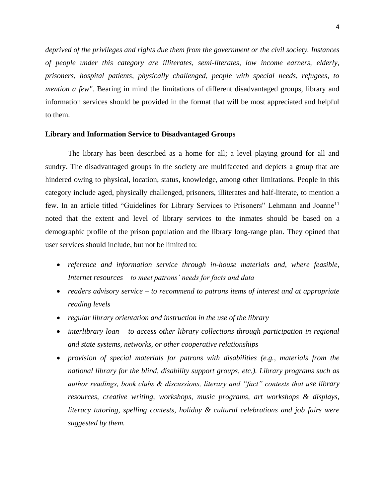*deprived of the privileges and rights due them from the government or the civil society. Instances of people under this category are illiterates, semi-literates, low income earners, elderly, prisoners, hospital patients, physically challenged, people with special needs, refugees, to mention a few"*. Bearing in mind the limitations of different disadvantaged groups, library and information services should be provided in the format that will be most appreciated and helpful to them.

## **Library and Information Service to Disadvantaged Groups**

The library has been described as a home for all; a level playing ground for all and sundry. The disadvantaged groups in the society are multifaceted and depicts a group that are hindered owing to physical, location, status, knowledge, among other limitations. People in this category include aged, physically challenged, prisoners, illiterates and half-literate, to mention a few. In an article titled "Guidelines for Library Services to Prisoners" Lehmann and Joanne<sup>11</sup> noted that the extent and level of library services to the inmates should be based on a demographic profile of the prison population and the library long-range plan. They opined that user services should include, but not be limited to:

- *reference and information service through in-house materials and, where feasible, Internet resources – to meet patrons' needs for facts and data*
- *readers advisory service – to recommend to patrons items of interest and at appropriate reading levels*
- *regular library orientation and instruction in the use of the library*
- *interlibrary loan – to access other library collections through participation in regional and state systems, networks, or other cooperative relationships*
- *provision of special materials for patrons with disabilities (e.g., materials from the national library for the blind, disability support groups, etc.). Library programs such as author readings, book clubs & discussions, literary and "fact" contests that use library resources, creative writing, workshops, music programs, art workshops & displays, literacy tutoring, spelling contests, holiday & cultural celebrations and job fairs were suggested by them.*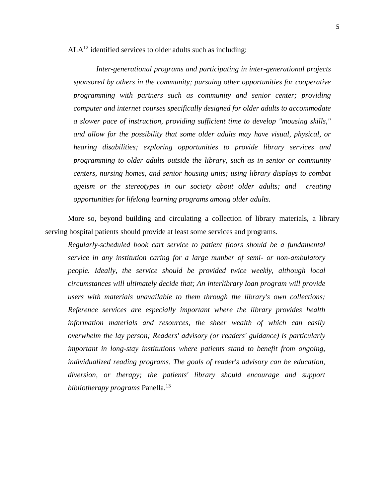$ALA<sup>12</sup>$  identified services to older adults such as including:

*Inter-generational programs and participating in inter-generational projects sponsored by others in the community; pursuing other opportunities for cooperative programming with partners such as community and senior center; providing computer and internet courses specifically designed for older adults to accommodate a slower pace of instruction, providing sufficient time to develop "mousing skills," and allow for the possibility that some older adults may have visual, physical, or hearing disabilities; exploring opportunities to provide library services and programming to older adults outside the library, such as in senior or community centers, nursing homes, and senior housing units; using library displays to combat ageism or the stereotypes in our society about older adults; and creating opportunities for lifelong learning programs among older adults.*

More so, beyond building and circulating a collection of library materials, a library serving hospital patients should provide at least some services and programs.

*Regularly-scheduled book cart service to patient floors should be a fundamental service in any institution caring for a large number of semi- or non-ambulatory people. Ideally, the service should be provided twice weekly, although local circumstances will ultimately decide that; An interlibrary loan program will provide users with materials unavailable to them through the library's own collections; Reference services are especially important where the library provides health information materials and resources, the sheer wealth of which can easily overwhelm the lay person; Readers' advisory (or readers' guidance) is particularly important in long-stay institutions where patients stand to benefit from ongoing, individualized reading programs. The goals of reader's advisory can be education, diversion, or therapy; the patients' library should encourage and support bibliotherapy programs* Panella. 13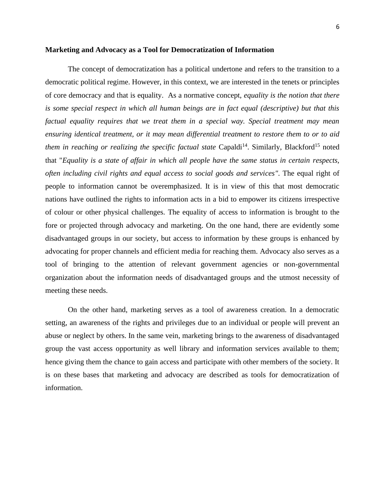#### **Marketing and Advocacy as a Tool for Democratization of Information**

The concept of democratization has a political undertone and refers to the transition to a democratic political regime. However, in this context, we are interested in the tenets or principles of core democracy and that is equality. As a normative concept, *equality is the notion that there is some special respect in which all human beings are in fact equal (descriptive) but that this factual equality requires that we treat them in a special way. Special treatment may mean ensuring identical treatment, or it may mean differential treatment to restore them to or to aid*  them in reaching or realizing the specific factual state Capaldi<sup>14</sup>. Similarly, Blackford<sup>15</sup> noted that "*Equality is a state of affair in which all people have the same status in certain respects, often including civil rights and equal access to social goods and services"*. The equal right of people to information cannot be overemphasized. It is in view of this that most democratic nations have outlined the rights to information acts in a bid to empower its citizens irrespective of colour or other physical challenges. The equality of access to information is brought to the fore or projected through advocacy and marketing. On the one hand, there are evidently some disadvantaged groups in our society, but access to information by these groups is enhanced by advocating for proper channels and efficient media for reaching them. Advocacy also serves as a tool of bringing to the attention of relevant government agencies or non-governmental organization about the information needs of disadvantaged groups and the utmost necessity of meeting these needs.

On the other hand, marketing serves as a tool of awareness creation. In a democratic setting, an awareness of the rights and privileges due to an individual or people will prevent an abuse or neglect by others. In the same vein, marketing brings to the awareness of disadvantaged group the vast access opportunity as well library and information services available to them; hence giving them the chance to gain access and participate with other members of the society. It is on these bases that marketing and advocacy are described as tools for democratization of information.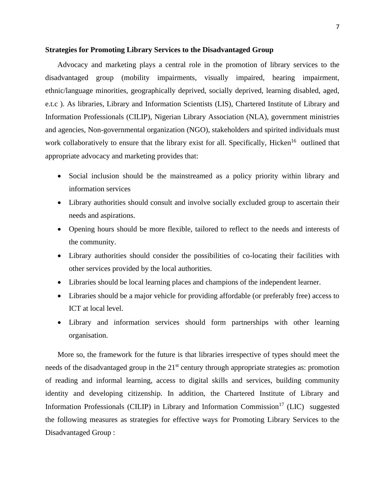#### **Strategies for Promoting Library Services to the Disadvantaged Group**

Advocacy and marketing plays a central role in the promotion of library services to the disadvantaged group (mobility impairments, visually impaired, hearing impairment, ethnic/language minorities, geographically deprived, socially deprived, learning disabled, aged, e.t.c ). As libraries, Library and Information Scientists (LIS), Chartered Institute of Library and Information Professionals (CILIP), Nigerian Library Association (NLA), government ministries and agencies, Non-governmental organization (NGO), stakeholders and spirited individuals must work collaboratively to ensure that the library exist for all. Specifically, Hicken<sup>16</sup> outlined that appropriate advocacy and marketing provides that:

- Social inclusion should be the mainstreamed as a policy priority within library and information services
- Library authorities should consult and involve socially excluded group to ascertain their needs and aspirations.
- Opening hours should be more flexible, tailored to reflect to the needs and interests of the community.
- Library authorities should consider the possibilities of co-locating their facilities with other services provided by the local authorities.
- Libraries should be local learning places and champions of the independent learner.
- Libraries should be a major vehicle for providing affordable (or preferably free) access to ICT at local level.
- Library and information services should form partnerships with other learning organisation.

More so, the framework for the future is that libraries irrespective of types should meet the needs of the disadvantaged group in the  $21<sup>st</sup>$  century through appropriate strategies as: promotion of reading and informal learning, access to digital skills and services, building community identity and developing citizenship. In addition, the Chartered Institute of Library and Information Professionals (CILIP) in Library and Information Commission<sup>17</sup> (LIC) suggested the following measures as strategies for effective ways for Promoting Library Services to the Disadvantaged Group :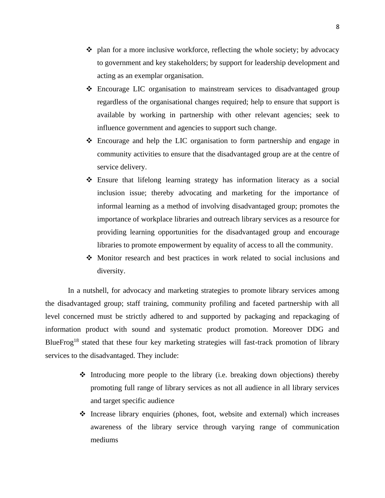- $\bullet$  plan for a more inclusive workforce, reflecting the whole society; by advocacy to government and key stakeholders; by support for leadership development and acting as an exemplar organisation.
- ❖ Encourage LIC organisation to mainstream services to disadvantaged group regardless of the organisational changes required; help to ensure that support is available by working in partnership with other relevant agencies; seek to influence government and agencies to support such change.
- ❖ Encourage and help the LIC organisation to form partnership and engage in community activities to ensure that the disadvantaged group are at the centre of service delivery.
- ❖ Ensure that lifelong learning strategy has information literacy as a social inclusion issue; thereby advocating and marketing for the importance of informal learning as a method of involving disadvantaged group; promotes the importance of workplace libraries and outreach library services as a resource for providing learning opportunities for the disadvantaged group and encourage libraries to promote empowerment by equality of access to all the community.
- ❖ Monitor research and best practices in work related to social inclusions and diversity.

In a nutshell, for advocacy and marketing strategies to promote library services among the disadvantaged group; staff training, community profiling and faceted partnership with all level concerned must be strictly adhered to and supported by packaging and repackaging of information product with sound and systematic product promotion. Moreover DDG and BlueFrog<sup>18</sup> stated that these four key marketing strategies will fast-track promotion of library services to the disadvantaged. They include:

- ❖ Introducing more people to the library (i.e. breaking down objections) thereby promoting full range of library services as not all audience in all library services and target specific audience
- ❖ Increase library enquiries (phones, foot, website and external) which increases awareness of the library service through varying range of communication mediums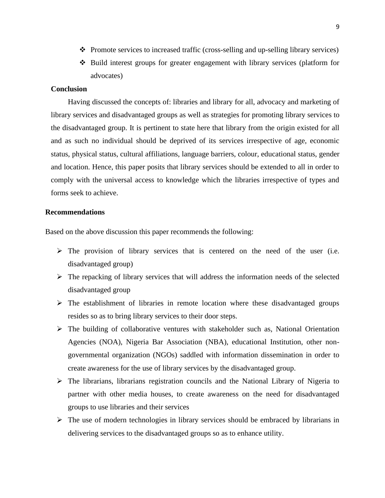- ❖ Promote services to increased traffic (cross-selling and up-selling library services)
- ❖ Build interest groups for greater engagement with library services (platform for advocates)

# **Conclusion**

Having discussed the concepts of: libraries and library for all, advocacy and marketing of library services and disadvantaged groups as well as strategies for promoting library services to the disadvantaged group. It is pertinent to state here that library from the origin existed for all and as such no individual should be deprived of its services irrespective of age, economic status, physical status, cultural affiliations, language barriers, colour, educational status, gender and location. Hence, this paper posits that library services should be extended to all in order to comply with the universal access to knowledge which the libraries irrespective of types and forms seek to achieve.

# **Recommendations**

Based on the above discussion this paper recommends the following:

- $\triangleright$  The provision of library services that is centered on the need of the user (i.e. disadvantaged group)
- $\triangleright$  The repacking of library services that will address the information needs of the selected disadvantaged group
- ➢ The establishment of libraries in remote location where these disadvantaged groups resides so as to bring library services to their door steps.
- $\triangleright$  The building of collaborative ventures with stakeholder such as, National Orientation Agencies (NOA), Nigeria Bar Association (NBA), educational Institution, other nongovernmental organization (NGOs) saddled with information dissemination in order to create awareness for the use of library services by the disadvantaged group.
- ➢ The librarians, librarians registration councils and the National Library of Nigeria to partner with other media houses, to create awareness on the need for disadvantaged groups to use libraries and their services
- $\triangleright$  The use of modern technologies in library services should be embraced by librarians in delivering services to the disadvantaged groups so as to enhance utility.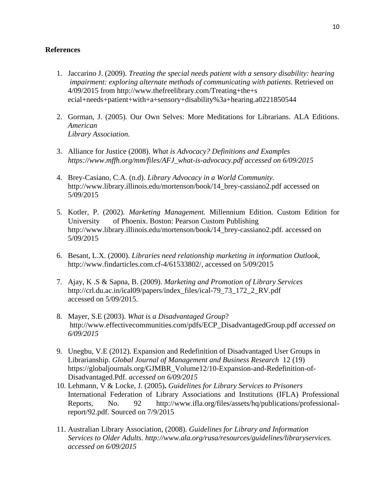# **References**

- 1. Jaccarino J. (2009). *Treating the special needs patient with a sensory disability: hearing impairment: exploring alternate methods of communicating with patients. Retrieved on* 4/09/2015 from http://www.thefreelibrary.com/Treating+the+s ecial+needs+patient+with+a+sensory+disability%3a+hearing.a0221850544
- 2. Gorman, J. (2005). Our Own Selves: More Meditations for Librarians. ALA Editions. *American Library Association.*
- 3. Alliance for Justice (2008). *What is Advocacy? Definitions and Examples https://www.mffh.org/mm/files/AFJ\_what-is-advocacy.pdf accessed on 6/09/2015*
- 4. Brey-Casiano, C.A. (n.d). *Library Advocacy in a World Community.*  http://www.library.illinois.edu/mortenson/book/14\_brey-cassiano2.pdf accessed on 5/09/2015
- 5. Kotler, P. (2002). *Marketing Management.* Millennium Edition. Custom Edition for University of Phoenix. Boston: Pearson Custom Publishing http://www.library.illinois.edu/mortenson/book/14\_brey-cassiano2.pdf. accessed on 5/09/2015
- 6. Besant, L.X. (2000). *Libraries need relationship marketing in information Outlook,* http://www.findarticles.com.cf-4/61533802/, accessed on 5/09/2015
- 7. Ajay, K .S & Sapna, B. (2009). *Marketing and Promotion of Library Services* http://crl.du.ac.in/ical09/papers/index\_files/ical-79\_73\_172\_2\_RV.pdf accessed on 5/09/2015.
- 8. Mayer, S.E (2003). *What is a Disadvantaged Group*? http://www.effectivecommunities.com/pdfs/ECP\_DisadvantagedGroup.pdf *accessed on 6/09/2015*
- 9. Unegbu, V.E (2012). Expansion and Redefinition of Disadvantaged User Groups in Librarianship. *Global Journal of Management and Business Research* 12 (19) https://globaljournals.org/GJMBR\_Volume12/10-Expansion-and-Redefinition-of-Disadvantaged.Pdf. *accessed on 6/09/2015*
- 10. Lehmann, V & Locke, J. (2005)**.** *Guidelines for Library Services to Prisoners* International Federation of Library Associations and Institutions (IFLA) Professional Reports, No. 92 http://www.ifla.org/files/assets/hq/publications/professionalreport/92.pdf. Sourced on 7/9/2015
- 11. Australian Library Association, (2008). *Guidelines for Library and Information Services to Older Adults*. *http://www.ala.org/rusa/resources/guidelines/libraryservices. accessed on 6/09/2015*